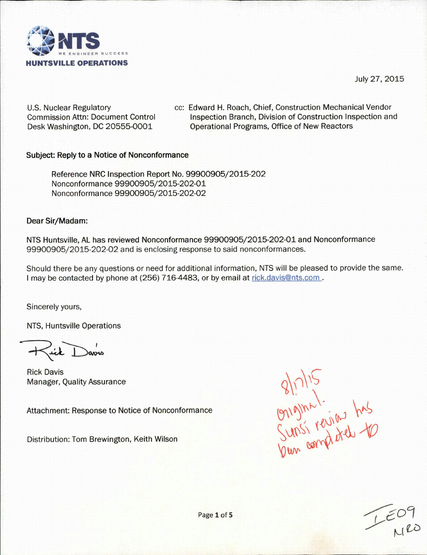

July 27, 2015

U.S. Nuclear Regulatory Commission Attn: Document Control Desk Washington, DC 20555-0001

cc: Edward H. Roach, Chief, Construction Mechanical Vendor Inspection Branch, Division of Construction Inspection and Operational Programs, Office of New Reactors

### Subject: Reply to a Notice of Nonconformance

Reference NRC Inspection Report No. 99900905/2015-202 Nonconformance 99900905/2015-202-01 Nonconformance 99900905/2015-202-02

### Dear Sir/Madam:

NTS Huntsville, AL has reviewed Nonconformance 99900905/2015-202-01 and Nonconformance 99900905/2015-202-02 and is enclosing response to said nonconformances.

Should there be any questions or need for additional information, NTS will be pleased to provide the same. I may be contacted by phone at (256) 716-4483, or by email at rick.davis@nts.com.

Sincerely yours,

NTS, Huntsville Operations

Rick Davis<br>Manager, Quality Assurance

Attachment: Response to Notice of Nonconformance

Distribution: Tom Brewington, Keith Wilson

 $81715$ <br>  $9191212$ <br>  $9191222$ <br>  $9191222$ <br>  $9191222$ <br>  $160162$  has

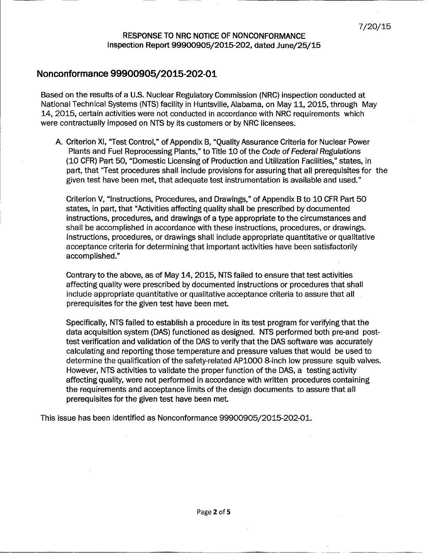# 7/20/15 RESPONSE TO NRC NOTICE OF NONCONFORMANCE Inspection Report 99900905/2015-202, dated June/25/15

## **Nonconformance 99900905/2015-202-01**

Based on the results of a U.S. Nuclear Regulatory Commission (NRC) inspection conducted at National Technical Systems (NTS) facility in Huntsville, Alabama, on May 11, 2015, through May 14, 2015, certain activities were not conducted in accordance with NRC requirements which were contractually imposed on NTS by its customers or by NRC licensees.

A. Criterion Xl, "Test Control," of Appendix B, "Quality Assurance Criteria for Nuclear Power Plants and Fuel Reprocessing Plants," to Title 10 of the *Code of Federal Regulations* (10 CFR) Part 50, "Domestic Licensing of Production and Utilization Facilities," states, in part, that "Test procedures shall include provisions for assuring that all prerequisites for the given test have been met, that adequate test instrumentation is available and used."

Criterion V, "Instructions, Procedures, and Drawings," of Appendix B to 10 CFR Part 50 states, in part, that "Activities affecting quality shall be prescribed by documented instructions, procedures, and drawings of a type appropriate to the circumstances and shall be accomplished in accordance with these instructions, procedures, or drawings. Instructions, procedures, or drawings shall include appropriate quantitative or qualitative acceptance criteria for determining that important activities have been satisfactorily accomplished."

Contrary to the above, as of May 14, 2015, NTS failed to ensure that test activities affecting quality were prescribed by documented instructions or procedures that shall include appropriate quantitative or qualitative acceptance criteria to assure that all prerequisites for the given test have been met.

Specifically, NTS failed to establish a procedure in its test program for verifying that the data acquisition system (DAS) functioned as designed. NTS performed both pre-and posttest verification and validation of the DAS to verify that the DAS software was accurately calculating and reporting those temperature and pressure values that would be used to determine the qualification of the safety-related APIO00 8-inch low pressure squib valves. However, NTS activities to validate the proper function of the DAS, a testing activity affecting quality, were not performed in accordance with written procedures containing the requirements and acceptance limits of the design documents to assure that all prerequisites for the given test have been met.

This issue has been identified as Nonconformance 99900905/2015-202-01.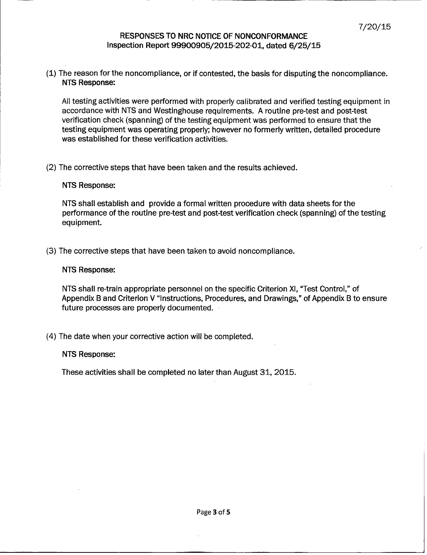# 7/20/15 RESPONSES TO NRC NOTICE OF NONCONFORMANCE Inspection Report 99900905/2015-202-01, dated 6/25/15

(1) The reason for the noncompliance, or if contested, the basis for disputing the noncompliance. NTS Response:

All testing activities were performed with properly calibrated and verified testing equipment in accordance with NTS and Westinghouse requirements. A routine pre-test and post-test verification check (spanning) of the testing equipment was performed to ensure that the testing equipment was operating properly; however no formerly written, detailed procedure was established for these verification activities.

(2) The corrective steps that have been taken and the results achieved.

#### NTS Response:

NTS shall establish and provide a formal written procedure with data sheets for the performance of the routine pre-test and post-test verification check (spanning) of the testing equipment.

(3) The corrective steps that have been taken to avoid noncompliance.

#### NTS Response:

NTS shall re-train appropriate personnel on the specific Criterion XI, "Test Control," of Appendix B and Criterion V "Instructions, Procedures, and Drawings," of Appendix B to ensure future processes are properly documented.

(4) The date when your corrective action will be completed.

#### NTS Response:

These activities shall be completed no later than August 31, 2015.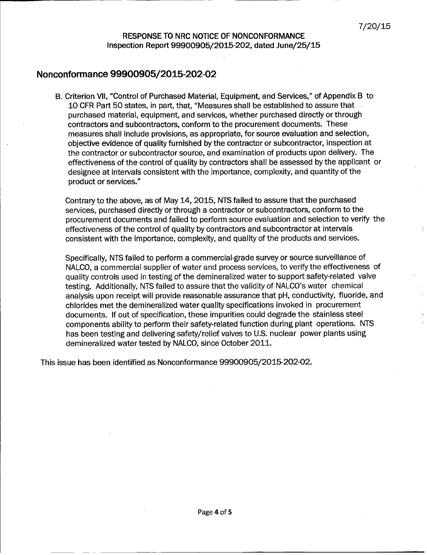## **Nonconformance 99900905/2015-202-02**

B. Criterion VII, "Control of Purchased Material, Equipment, and Services," of Appendix B to 10 CFR Part 50 states, in part, that, "Measures shall be established to assure that purchased material, equipment, and services, whether purchased directly or through contractors and subcontractors, conform to the procurement documents. These measures shall include provisions, as appropriate, for source evaluation and selection, objective evidence of quality furnished by the contractor or subcontractor, inspection at the contractor or subcontractor source, and examination of products upon delivery. The effectiveness of the control of quality by contractors shall be assessed by the applicant or designee at intervals consistent with the importance, complexity, and quantity of the product or services."

Contrary to the above, as of May 14, 2015, NTS failed to assure that the purchased services, purchased directly or through a contractor or subcontractors, conform to the procurement documents and failed to perform source evaluation and selection to verify the effectiveness of the control of quality by contractors and subcontractor at intervals consistent with the importance, complexity, and quality of the products and services.

Specifically, NTS failed to perform a commercial-grade survey or source surveillance of NALCO, a commercial supplier of water and process services, to verify the effectiveness of quality controls used in testing of the demineralized water to support safety-related valve testing. Additionally, NTS failed to assure that the validity of NALCO's water chemical analysis upon receipt will provide reasonable assurance that pH, conductivity, fluoride, and chlorides met the demineralized water quality specifications invoked in procurement documents. If out of specification, these impurities could degrade the stainless steel components ability to perform their safety-related function during plant operations. NTS has been testing and delivering safety/relief valves to U.S. nuclear power plants using demineralized water tested by NALCO, since October 2011.

This issue has been identified as Nonconformance 99900905/2015-202-02.